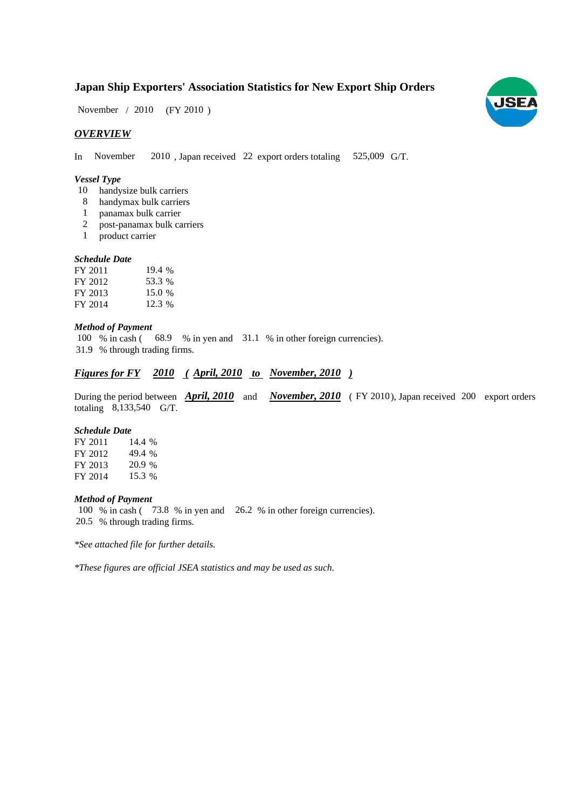## **Japan Ship Exporters' Association Statistics for New Export Ship Orders**

November / 2010 (FY 2010)

#### *OVERVIEW*

In November 2010, Japan received 22 export orders totaling 525,009 G/T.

#### *Vessel Type*

- 10 handysize bulk carriers
- handymax bulk carriers 8
- panamax bulk carrier 1
- post-panamax bulk carriers 2
- product carrier 1

#### *Schedule Date*

| FY 2011 | 19.4 % |
|---------|--------|
| FY 2012 | 53.3 % |
| FY 2013 | 15.0 % |
| FY 2014 | 12.3 % |

#### *Method of Payment*

100 % in cash (68.9 % in yen and 31.1 % in other foreign currencies). % through trading firms. 31.9

### *Figures for FY* 2010 (April, 2010 to November, 2010)

During the period between **April, 2010** and **November, 2010** (FY 2010), Japan received 200 export orders totaling 8,133,540 G/T.

#### *Schedule Date*

FY 2011 FY 2012 49.4 % FY 2013 FY 2014 14.4 % 20.9 % 15.3

#### *Method of Payment*

100 % in cash (73.8 % in yen and 26.2 % in other foreign currencies). % through trading firms. 20.5

*\*See attached file for further details.*

*\*These figures are official JSEA statistics and may be used as such.*

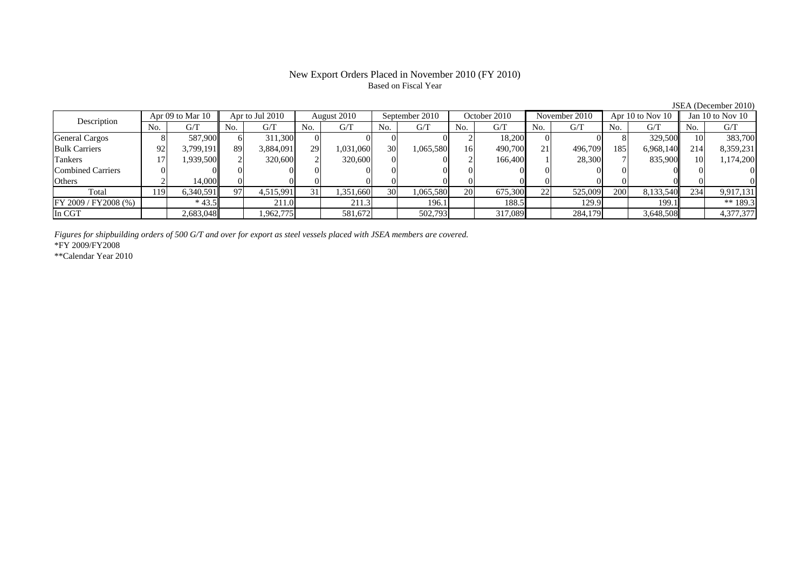## New Export Orders Placed in November 2010 (FY 2010) Based on Fiscal Year

|                          |     |                 |     |             |               |                |     |              |     |               |           |                      |      |                  |     | JSEA (December 2010) |
|--------------------------|-----|-----------------|-----|-------------|---------------|----------------|-----|--------------|-----|---------------|-----------|----------------------|------|------------------|-----|----------------------|
| Apr 09 to Mar 10         |     | Apr to Jul 2010 |     | August 2010 |               | September 2010 |     | October 2010 |     | November 2010 |           | Apr $10$ to Nov $10$ |      | Jan 10 to Nov 10 |     |                      |
| Description              | No. | G/T             | No. | G/T         | No.           | G/T            | No. | G/T          | No. | G/T           | No.       | G/T                  | No.  | G/T              | No. | G/T                  |
| <b>General Cargos</b>    |     | 587,900         | 61  | 311.300     |               | OI.            |     |              |     | 18,200        |           |                      |      | 329,500          |     | 383,700              |
| <b>Bulk Carriers</b>     | 92  | 3.799.191       | 89  | 3,884,091   | 29            | 1,031,060      | 30  | 1,065,580    | 16  | 490,700       | <b>21</b> | 496.709              | 1851 | 6,968,140        | 214 | 8,359,231            |
| Tankers                  |     | 1,939,500       |     | 320,600     | $\mathcal{L}$ | 320,600        |     |              |     | 166,400       |           | 28,300               |      | 835,900          |     | 1,174,200            |
| <b>Combined Carriers</b> |     |                 |     |             |               |                |     |              |     |               |           |                      |      |                  |     | $^{(1)}$             |
| Others                   |     | 14,000          |     |             |               |                |     |              |     |               |           |                      |      |                  |     | $\Omega$             |
| Total                    | 119 | 6.340.591       | Q7  | 4,515,991   |               | 1,351,660      | 30  | 1,065,580    | 20  | 675,300       | 22        | 525,009              | 200  | 8,133,540        | 234 | 9,917,131            |
| FY 2009 / FY 2008 (%)    |     | $*43.5$         |     | 211.0       |               | 211.3          |     | 196.1        |     | 188.5         |           | 129.9                |      | 199.1            |     | ** 189.3             |
| In CGT                   |     | 2,683,048       |     | 1,962,775   |               | 581,672        |     | 502,793      |     | 317,089       |           | 284,179              |      | 3,648,508        |     | 4,377,377            |

*Figures for shipbuilding orders of 500 G/T and over for export as steel vessels placed with JSEA members are covered.* \*FY 2009/FY2008

\*\*Calendar Year 2010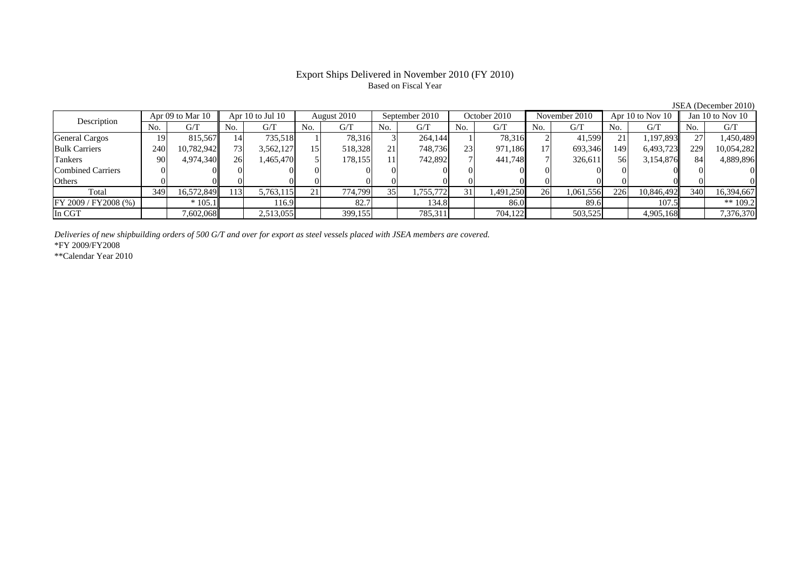## Export Ships Delivered in November 2010 (FY 2010) Based on Fiscal Year

| Apr 09 to Mar 10<br>Description |     | Apr $10$ to Jul $10$ |       | August 2010 |     | September 2010 |     | October 2010 |     | November 2010 |     | Apr 10 to Nov 10 |     | Jan 10 to Nov $10$ |     |            |
|---------------------------------|-----|----------------------|-------|-------------|-----|----------------|-----|--------------|-----|---------------|-----|------------------|-----|--------------------|-----|------------|
|                                 | No. | G/T                  | No.   | G/T         | No. | G/T            | No. | G/T          | No. | G/T           | No. | G/T              | No. | G/T                | No. | G/T        |
| <b>General Cargos</b>           | 19  | 815,567              | 141   | 735.518     |     | 78.316         |     | 264,144      |     | 78,316        |     | 41.599           |     | 1,197,893          |     | 1,450,489  |
| <b>Bulk Carriers</b>            | 240 | 10,782,942           | 731   | 3,562,127   | 15. | 518,328        |     | 748,736      | 23  | 971,186       |     | 693,346          | 149 | 6,493,723          | 229 | 10,054,282 |
| Tankers                         | 90  | 4,974,340            | 26    | .465,470    |     | 178,155        |     | 742,892      |     | 441,748       |     | 326,611          | 561 | 3,154,876          | 84  | 4,889,896  |
| <b>Combined Carriers</b>        |     |                      |       |             |     |                |     |              |     |               |     |                  |     |                    |     |            |
| Others                          |     |                      |       |             |     |                |     |              |     |               |     |                  |     |                    |     |            |
| Total                           | 349 | 16,572,849           | . 13' | 5,763,115   | 21. | 774,799        |     | ,755,772     | 31  | 1,491,250     | 26  | 1,061,556        | 226 | 10,846,492         | 340 | 16,394,667 |
| FY 2009 / FY 2008 (%)           |     | $*105.1$             |       | 116.9       |     | 82.7           |     | 134.8        |     | 86.0          |     | 89.6             |     | 107.5              |     | ** $109.2$ |
| In CGT                          |     | 7,602,068            |       | 2,513,055   |     | 399,155        |     | 785,311      |     | 704,122       |     | 503,525          |     | 4,905,168          |     | 7,376,370  |

*Deliveries of new shipbuilding orders of 500 G/T and over for export as steel vessels placed with JSEA members are covered.*

\*FY 2009/FY2008

\*\*Calendar Year 2010

JSEA (December 2010)